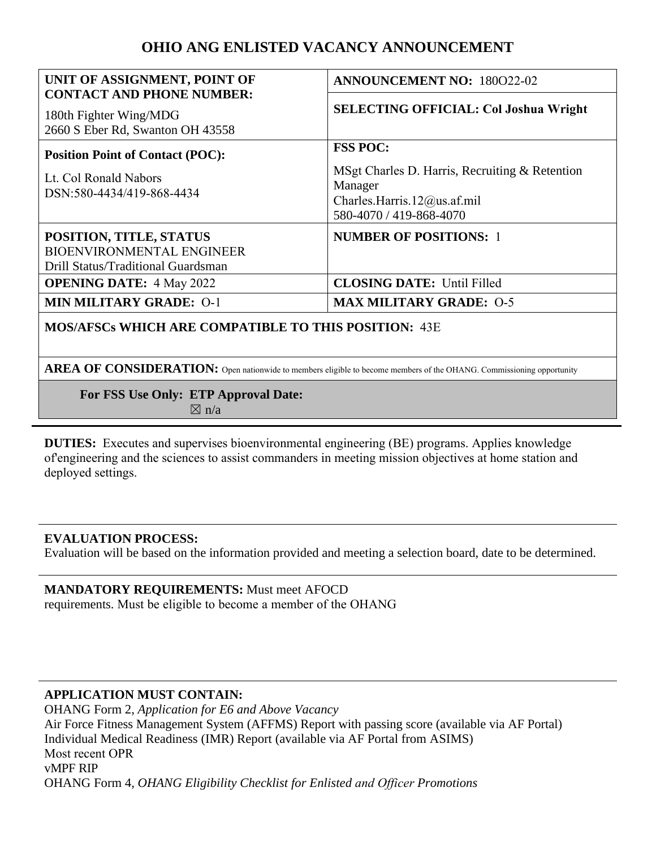# **OHIO ANG ENLISTED VACANCY ANNOUNCEMENT**

| UNIT OF ASSIGNMENT, POINT OF                                                                      | <b>ANNOUNCEMENT NO: 180022-02</b>                                                                                                      |
|---------------------------------------------------------------------------------------------------|----------------------------------------------------------------------------------------------------------------------------------------|
| <b>CONTACT AND PHONE NUMBER:</b><br>180th Fighter Wing/MDG<br>2660 S Eber Rd, Swanton OH 43558    | <b>SELECTING OFFICIAL: Col Joshua Wright</b>                                                                                           |
| <b>Position Point of Contact (POC):</b><br>Lt. Col Ronald Nabors<br>DSN:580-4434/419-868-4434     | <b>FSS POC:</b><br>MSgt Charles D. Harris, Recruiting & Retention<br>Manager<br>Charles.Harris.12@us.af.mil<br>580-4070 / 419-868-4070 |
| POSITION, TITLE, STATUS<br><b>BIOENVIRONMENTAL ENGINEER</b><br>Drill Status/Traditional Guardsman | <b>NUMBER OF POSITIONS: 1</b>                                                                                                          |
| <b>OPENING DATE: 4 May 2022</b>                                                                   | <b>CLOSING DATE:</b> Until Filled                                                                                                      |
| <b>MIN MILITARY GRADE: 0-1</b>                                                                    | <b>MAX MILITARY GRADE: 0-5</b>                                                                                                         |
| <b>MOS/AFSCs WHICH ARE COMPATIBLE TO THIS POSITION: 43E</b>                                       |                                                                                                                                        |

AREA OF CONSIDERATION: Open nationwide to members eligible to become members of the OHANG. Commissioning opportunity

 **For FSS Use Only: ETP Approval Date:** 

 $\boxtimes$  n/a

**DUTIES:** Executes and supervises bioenvironmental engineering (BE) programs. Applies knowledge of'engineering and the sciences to assist commanders in meeting mission objectives at home station and deployed settings.

### **EVALUATION PROCESS:**

Evaluation will be based on the information provided and meeting a selection board, date to be determined.

#### **MANDATORY REQUIREMENTS:** Must meet AFOCD requirements. Must be eligible to become a member of the OHANG

# **APPLICATION MUST CONTAIN:**

OHANG Form 2, *Application for E6 and Above Vacancy*  Air Force Fitness Management System (AFFMS) Report with passing score (available via AF Portal) Individual Medical Readiness (IMR) Report (available via AF Portal from ASIMS) Most recent OPR vMPF RIP OHANG Form 4, *OHANG Eligibility Checklist for Enlisted and Officer Promotions*